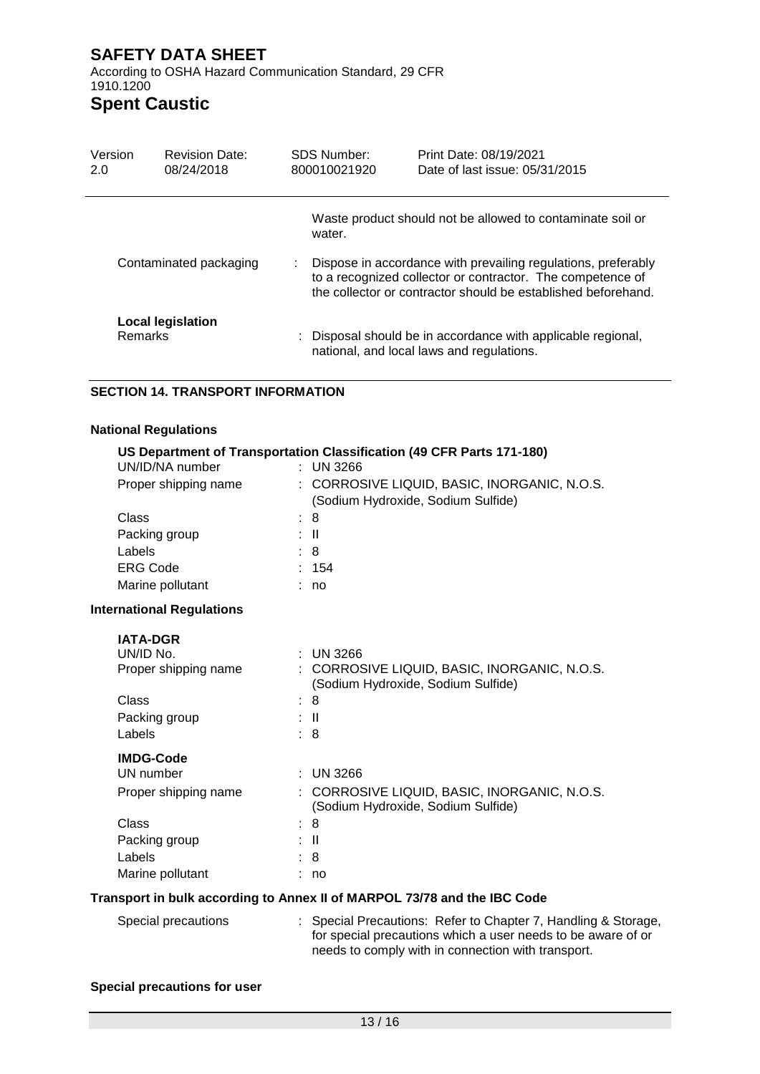According to OSHA Hazard Communication Standard, 29 CFR 1910.1200

# **Spent Caustic**

| Version                | <b>Revision Date:</b>                      | SDS Number:<br>VRAM00036                                                                                                                                                                     | Print Date: 4/01/2022<br>Date of last issue: 4/01/2022                                                    |
|------------------------|--------------------------------------------|----------------------------------------------------------------------------------------------------------------------------------------------------------------------------------------------|-----------------------------------------------------------------------------------------------------------|
|                        |                                            | water.                                                                                                                                                                                       | Waste product should not be allowed to contaminate soil or                                                |
| Contaminated packaging |                                            | Dispose in accordance with prevailing regulations, preferably<br>to a recognized collector or contractor. The competence of<br>the collector or contractor should be established beforehand. |                                                                                                           |
|                        | <b>Local legislation</b><br><b>Remarks</b> |                                                                                                                                                                                              | : Disposal should be in accordance with applicable regional,<br>national, and local laws and regulations. |

### **SECTION 14. TRANSPORT INFORMATION**

### **National Regulations**

#### **US Department of Transportation Classification (49 CFR Parts 171-180)**  $UN/ID/NA$  number

| UNIU/INA IIUIIINGI               | . UN JZUU                                    |
|----------------------------------|----------------------------------------------|
| Proper shipping name             | : CORROSIVE LIQUID, BASIC, INORGANIC, N.O.S. |
|                                  | (Sodium Hydroxide, Sodium Sulfide)           |
| Class                            | : 8                                          |
| Packing group                    | : II                                         |
| Labels                           | : 8                                          |
| <b>ERG Code</b>                  | 154                                          |
| Marine pollutant                 | no                                           |
| <b>International Regulations</b> |                                              |
|                                  |                                              |

| <b>IATA-DGR</b>      |                                                                                    |
|----------------------|------------------------------------------------------------------------------------|
| UN/ID No.            | $:$ UN 3266                                                                        |
| Proper shipping name | : CORROSIVE LIQUID, BASIC, INORGANIC, N.O.S.<br>(Sodium Hydroxide, Sodium Sulfide) |
| Class                | : 8                                                                                |
| Packing group        | ÷Ш                                                                                 |
| Labels               | : 8                                                                                |
| <b>IMDG-Code</b>     |                                                                                    |
| UN number            | $\therefore$ UN 3266                                                               |
| Proper shipping name | : CORROSIVE LIQUID, BASIC, INORGANIC, N.O.S.<br>(Sodium Hydroxide, Sodium Sulfide) |
| Class                | : 8                                                                                |
| Packing group        | ÷Ш                                                                                 |
| Labels               | : 8                                                                                |
| Marine pollutant     | no                                                                                 |
|                      |                                                                                    |

#### **Transport in bulk according to Annex II of MARPOL 73/78 and the IBC Code**

| Special precautions | : Special Precautions: Refer to Chapter 7, Handling & Storage, |
|---------------------|----------------------------------------------------------------|
|                     | for special precautions which a user needs to be aware of or   |
|                     | needs to comply with in connection with transport.             |

### **Special precautions for user**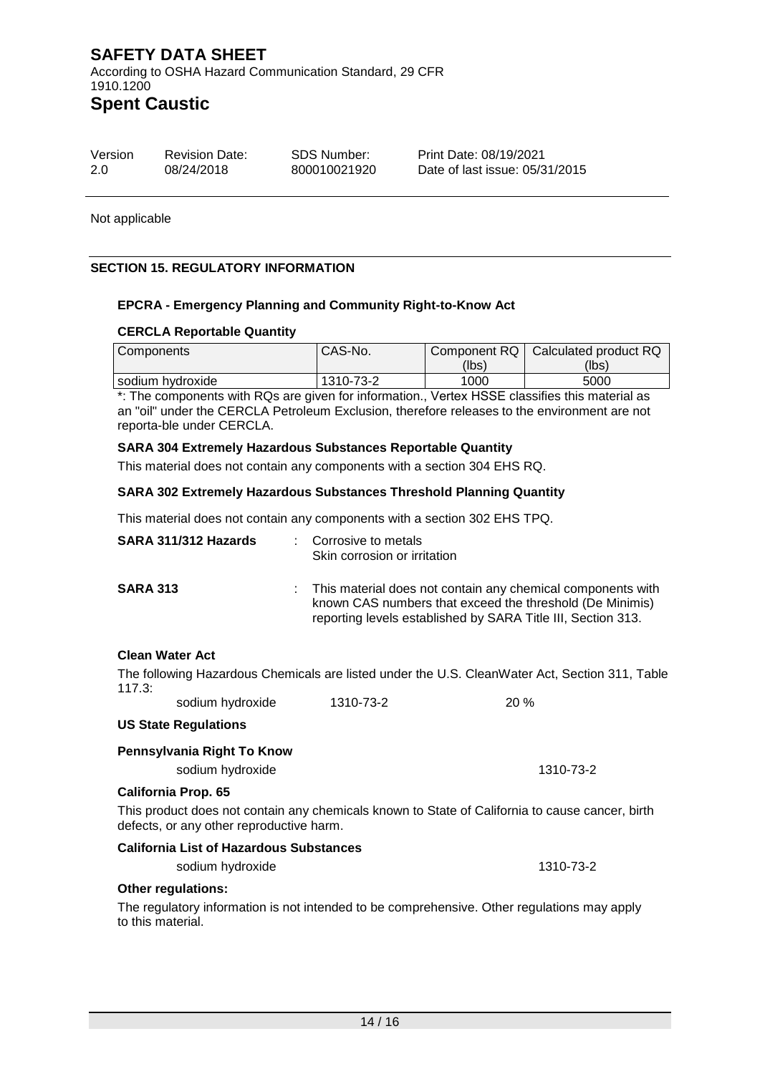According to OSHA Hazard Communication Standard, 29 CFR 1910.1200

# **Spent Caustic**

| Version | <b>Revision Date:</b> | SDS Number: | Print Date: 4/01/2022         |
|---------|-----------------------|-------------|-------------------------------|
| 1 O     | 4/01/2022             | VRAM00036   | Date of last issue: 4/01/2022 |

Not applicable

### **SECTION 15. REGULATORY INFORMATION**

#### **EPCRA - Emergency Planning and Community Right-to-Know Act**

#### **CERCLA Reportable Quantity**

| Components         | CAS-No.   |       | Component RQ   Calculated product RQ |
|--------------------|-----------|-------|--------------------------------------|
|                    |           | (lbs) | (lbs)                                |
| l sodium hvdroxide | 1310-73-2 | 1000  | 5000                                 |

\*: The components with RQs are given for information., Vertex HSSE classifies this material as an "oil" under the CERCLA Petroleum Exclusion, therefore releases to the environment are not reporta-ble under CERCLA.

#### **SARA 304 Extremely Hazardous Substances Reportable Quantity**

This material does not contain any components with a section 304 EHS RQ.

#### **SARA 302 Extremely Hazardous Substances Threshold Planning Quantity**

This material does not contain any components with a section 302 EHS TPQ.

| SARA 311/312 Hazards | <b>.</b> | Corrosive to metals<br>Skin corrosion or irritation                                                                                                                                     |
|----------------------|----------|-----------------------------------------------------------------------------------------------------------------------------------------------------------------------------------------|
| <b>SARA 313</b>      | t.       | This material does not contain any chemical components with<br>known CAS numbers that exceed the threshold (De Minimis)<br>reporting levels established by SARA Title III, Section 313. |

#### **Clean Water Act**

The following Hazardous Chemicals are listed under the U.S. CleanWater Act, Section 311, Table 117.3:

sodium hydroxide 1310-73-2 20 %

#### **US State Regulations**

# **Pennsylvania Right To Know** sodium hydroxide 1310-73-2 **California Prop. 65** This product does not contain any chemicals known to State of California to cause cancer, birth

defects, or any other reproductive harm.

### **California List of Hazardous Substances**

sodium hydroxide 1310-73-2 **Other regulations:**

The regulatory information is not intended to be comprehensive. Other regulations may apply to this material.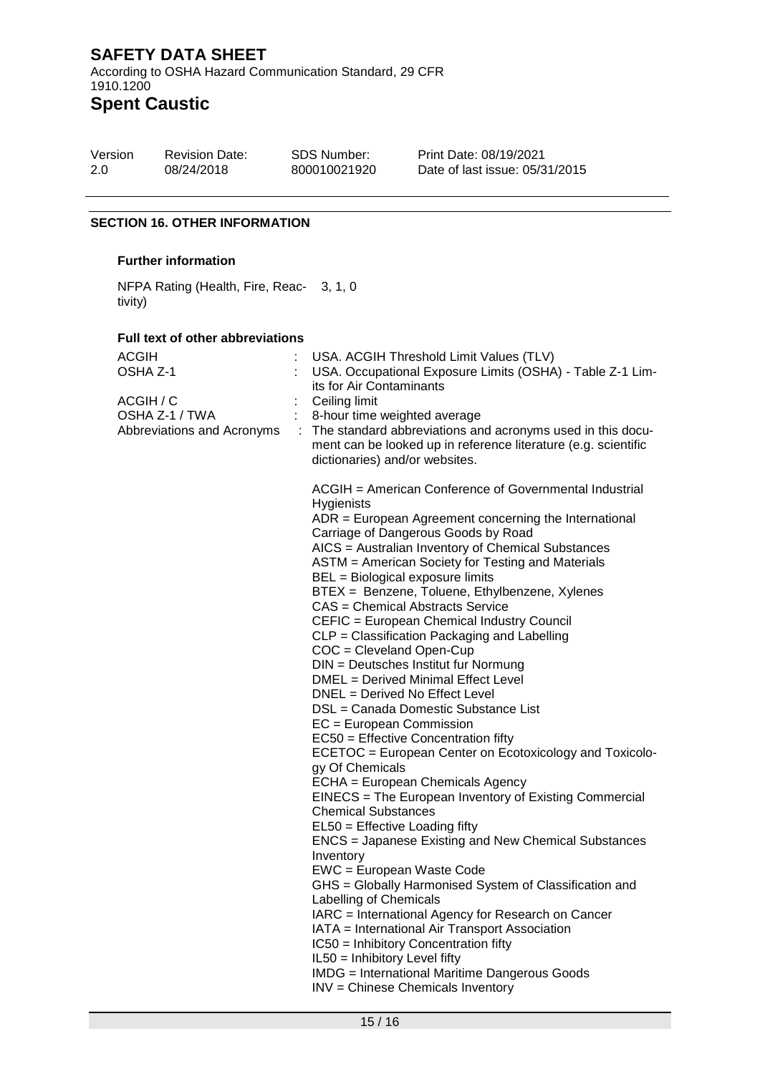According to OSHA Hazard Communication Standard, 29 CFR 1910.1200

# **Spent Caustic**

| Version | <b>Revision Date:</b> | <b>SDS Number:</b> | <b>Print Date</b> |
|---------|-----------------------|--------------------|-------------------|
| 1.0     | 4/01/2022             | VRAM00036          | Date of las       |

 $: 4/01/2022$ st issue: 4/01/2022

### **SECTION 16. OTHER INFORMATION**

### **Further information**

NFPA Rating (Health, Fire, Reac-3, 1, 0 tivity)

#### **Full text of other abbreviations**

| ACGIH<br>OSHA Z-1<br>ACGIH / C<br>OSHA Z-1 / TWA<br>Abbreviations and Acronyms |  | USA. ACGIH Threshold Limit Values (TLV)<br>USA. Occupational Exposure Limits (OSHA) - Table Z-1 Lim-<br>its for Air Contaminants<br>Ceiling limit<br>8-hour time weighted average<br>The standard abbreviations and acronyms used in this docu-<br>ment can be looked up in reference literature (e.g. scientific<br>dictionaries) and/or websites.                                                                                                                                                                                                                                                                                                                                                                                                                                                                                                                                                                                                                                                                                                                                                                                                                                                                                                                                                                                                                                                                                                                                           |
|--------------------------------------------------------------------------------|--|-----------------------------------------------------------------------------------------------------------------------------------------------------------------------------------------------------------------------------------------------------------------------------------------------------------------------------------------------------------------------------------------------------------------------------------------------------------------------------------------------------------------------------------------------------------------------------------------------------------------------------------------------------------------------------------------------------------------------------------------------------------------------------------------------------------------------------------------------------------------------------------------------------------------------------------------------------------------------------------------------------------------------------------------------------------------------------------------------------------------------------------------------------------------------------------------------------------------------------------------------------------------------------------------------------------------------------------------------------------------------------------------------------------------------------------------------------------------------------------------------|
|                                                                                |  | ACGIH = American Conference of Governmental Industrial<br>Hygienists<br>ADR = European Agreement concerning the International<br>Carriage of Dangerous Goods by Road<br>AICS = Australian Inventory of Chemical Substances<br>ASTM = American Society for Testing and Materials<br>BEL = Biological exposure limits<br>BTEX = Benzene, Toluene, Ethylbenzene, Xylenes<br>CAS = Chemical Abstracts Service<br>CEFIC = European Chemical Industry Council<br>CLP = Classification Packaging and Labelling<br>COC = Cleveland Open-Cup<br>DIN = Deutsches Institut fur Normung<br>DMEL = Derived Minimal Effect Level<br>DNEL = Derived No Effect Level<br>DSL = Canada Domestic Substance List<br>$EC = European Commission$<br>EC50 = Effective Concentration fifty<br>ECETOC = European Center on Ecotoxicology and Toxicolo-<br>gy Of Chemicals<br>ECHA = European Chemicals Agency<br>EINECS = The European Inventory of Existing Commercial<br><b>Chemical Substances</b><br>$EL50 = E$ ffective Loading fifty<br><b>ENCS</b> = Japanese Existing and New Chemical Substances<br>Inventory<br>EWC = European Waste Code<br>GHS = Globally Harmonised System of Classification and<br>Labelling of Chemicals<br>IARC = International Agency for Research on Cancer<br>IATA = International Air Transport Association<br>IC50 = Inhibitory Concentration fifty<br>IL50 = Inhibitory Level fifty<br><b>IMDG</b> = International Maritime Dangerous Goods<br>INV = Chinese Chemicals Inventory |